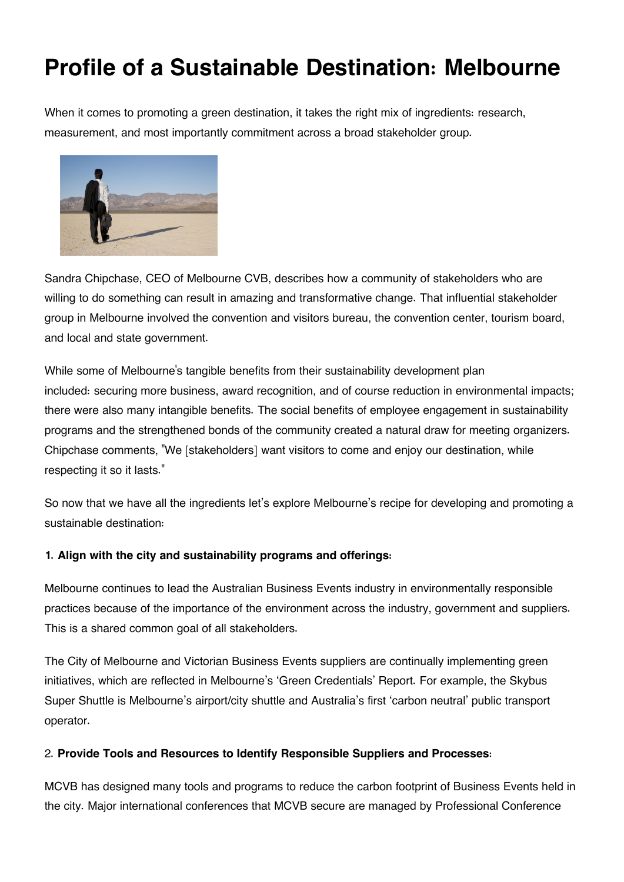# **Profile of a Sustainable Destination: Melbourne**

When it comes to promoting a green destination, it takes the right mix of ingredients: research, measurement, and most importantly commitment across a broad stakeholder group.



Sandra Chipchase, CEO of Melbourne CVB, describes how a community of stakeholders who are willing to do something can result in amazing and transformative change. That influential stakeholder group in Melbourne involved the convention and visitors bureau, the convention center, tourism board, and local and state government.

While some of Melbourne's tangible benefits from their sustainability development plan included: securing more business, award recognition, and of course reduction in environmental impacts; there were also many intangible benefits. The social benefits of employee engagement in sustainability programs and the strengthened bonds of the community created a natural draw for meeting organizers. Chipchase comments, "We [stakeholders] want visitors to come and enjoy our destination, while respecting it so it lasts."

So now that we have all the ingredients let's explore Melbourne's recipe for developing and promoting a sustainable destination:

## **1. Align with the city and sustainability programs and offerings:**

Melbourne continues to lead the Australian Business Events industry in environmentally responsible practices because of the importance of the environment across the industry, government and suppliers. This is a shared common goal of all stakeholders.

The City of Melbourne and Victorian Business Events suppliers are continually implementing green initiatives, which are reflected in Melbourne's 'Green Credentials' Report. For example, the Skybus Super Shuttle is Melbourne's airport/city shuttle and Australia's first 'carbon neutral' public transport operator.

## 2. **Provide Tools and Resources to Identify Responsible Suppliers and Processes**:

MCVB has designed many tools and programs to reduce the carbon footprint of Business Events held in the city. Major international conferences that MCVB secure are managed by Professional Conference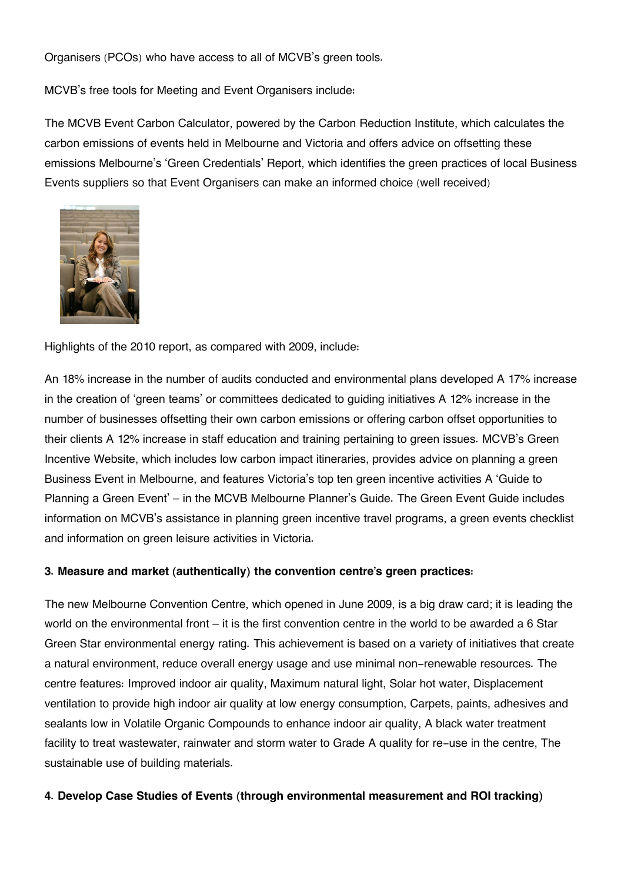Organisers (PCOs) who have access to all of MCVB's green tools.

MCVB's free tools for Meeting and Event Organisers include:

The MCVB Event Carbon Calculator, powered by the Carbon Reduction Institute, which calculates the carbon emissions of events held in Melbourne and Victoria and offers advice on offsetting these emissions Melbourne's 'Green Credentials' Report, which identifies the green practices of local Business Events suppliers so that Event Organisers can make an informed choice (well received)



Highlights of the 2010 report, as compared with 2009, include:

An 18% increase in the number of audits conducted and environmental plans developed A 17% increase in the creation of 'green teams' or committees dedicated to guiding initiatives A 12% increase in the number of businesses offsetting their own carbon emissions or offering carbon offset opportunities to their clients A 12% increase in staff education and training pertaining to green issues. MCVB's Green Incentive Website, which includes low carbon impact itineraries, provides advice on planning a green Business Event in Melbourne, and features Victoria's top ten green incentive activities A 'Guide to Planning a Green Event' – in the MCVB Melbourne Planner's Guide. The Green Event Guide includes information on MCVB's assistance in planning green incentive travel programs, a green events checklist and information on green leisure activities in Victoria.

#### **3. Measure and market (authentically) the convention centre's green practices:**

The new Melbourne Convention Centre, which opened in June 2009, is a big draw card; it is leading the world on the environmental front – it is the first convention centre in the world to be awarded a 6 Star Green Star environmental energy rating. This achievement is based on a variety of initiatives that create a natural environment, reduce overall energy usage and use minimal non-renewable resources. The centre features: Improved indoor air quality, Maximum natural light, Solar hot water, Displacement ventilation to provide high indoor air quality at low energy consumption, Carpets, paints, adhesives and sealants low in Volatile Organic Compounds to enhance indoor air quality, A black water treatment facility to treat wastewater, rainwater and storm water to Grade A quality for re-use in the centre, The sustainable use of building materials.

#### **4. Develop Case Studies of Events (through environmental measurement and ROI tracking)**